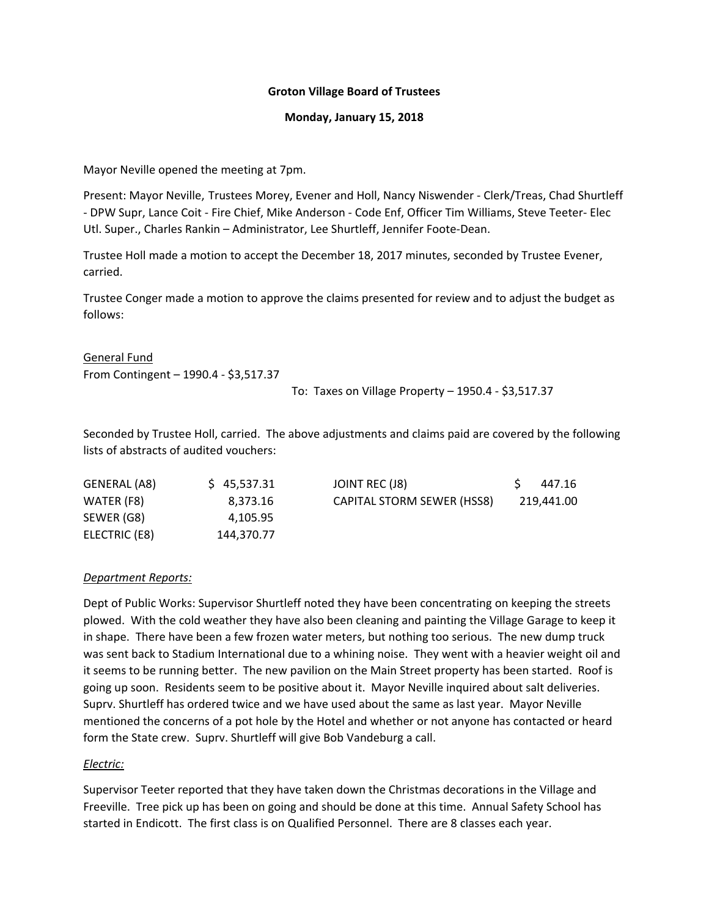#### **Groton Village Board of Trustees**

#### **Monday, January 15, 2018**

Mayor Neville opened the meeting at 7pm.

Present: Mayor Neville, Trustees Morey, Evener and Holl, Nancy Niswender ‐ Clerk/Treas, Chad Shurtleff ‐ DPW Supr, Lance Coit ‐ Fire Chief, Mike Anderson ‐ Code Enf, Officer Tim Williams, Steve Teeter‐ Elec Utl. Super., Charles Rankin – Administrator, Lee Shurtleff, Jennifer Foote‐Dean.

Trustee Holl made a motion to accept the December 18, 2017 minutes, seconded by Trustee Evener, carried.

Trustee Conger made a motion to approve the claims presented for review and to adjust the budget as follows:

General Fund From Contingent – 1990.4 ‐ \$3,517.37

To: Taxes on Village Property – 1950.4 ‐ \$3,517.37

Seconded by Trustee Holl, carried. The above adjustments and claims paid are covered by the following lists of abstracts of audited vouchers:

| GENERAL (A8)  | \$45,537.31 | JOINT REC (J8)             | 447.16     |
|---------------|-------------|----------------------------|------------|
| WATER (F8)    | 8.373.16    | CAPITAL STORM SEWER (HSS8) | 219,441.00 |
| SEWER (G8)    | 4.105.95    |                            |            |
| ELECTRIC (E8) | 144.370.77  |                            |            |

#### *Department Reports:*

Dept of Public Works: Supervisor Shurtleff noted they have been concentrating on keeping the streets plowed. With the cold weather they have also been cleaning and painting the Village Garage to keep it in shape. There have been a few frozen water meters, but nothing too serious. The new dump truck was sent back to Stadium International due to a whining noise. They went with a heavier weight oil and it seems to be running better. The new pavilion on the Main Street property has been started. Roof is going up soon. Residents seem to be positive about it. Mayor Neville inquired about salt deliveries. Suprv. Shurtleff has ordered twice and we have used about the same as last year. Mayor Neville mentioned the concerns of a pot hole by the Hotel and whether or not anyone has contacted or heard form the State crew. Suprv. Shurtleff will give Bob Vandeburg a call.

## *Electric:*

Supervisor Teeter reported that they have taken down the Christmas decorations in the Village and Freeville. Tree pick up has been on going and should be done at this time. Annual Safety School has started in Endicott. The first class is on Qualified Personnel. There are 8 classes each year.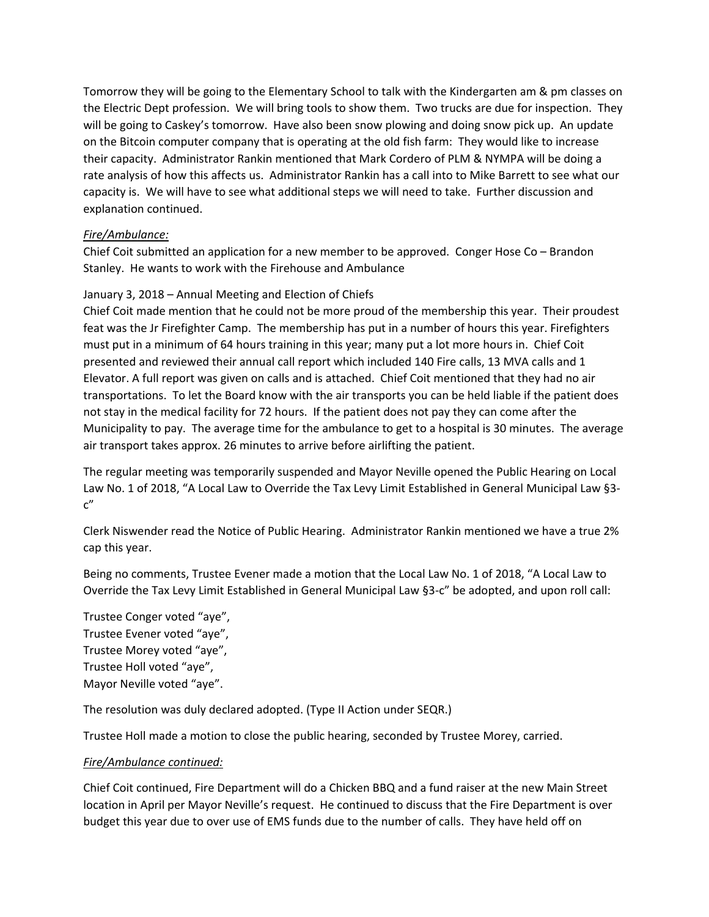Tomorrow they will be going to the Elementary School to talk with the Kindergarten am & pm classes on the Electric Dept profession. We will bring tools to show them. Two trucks are due for inspection. They will be going to Caskey's tomorrow. Have also been snow plowing and doing snow pick up. An update on the Bitcoin computer company that is operating at the old fish farm: They would like to increase their capacity. Administrator Rankin mentioned that Mark Cordero of PLM & NYMPA will be doing a rate analysis of how this affects us. Administrator Rankin has a call into to Mike Barrett to see what our capacity is. We will have to see what additional steps we will need to take. Further discussion and explanation continued.

# *Fire/Ambulance:*

Chief Coit submitted an application for a new member to be approved. Conger Hose Co – Brandon Stanley. He wants to work with the Firehouse and Ambulance

# January 3, 2018 – Annual Meeting and Election of Chiefs

Chief Coit made mention that he could not be more proud of the membership this year. Their proudest feat was the Jr Firefighter Camp. The membership has put in a number of hours this year. Firefighters must put in a minimum of 64 hours training in this year; many put a lot more hours in. Chief Coit presented and reviewed their annual call report which included 140 Fire calls, 13 MVA calls and 1 Elevator. A full report was given on calls and is attached. Chief Coit mentioned that they had no air transportations. To let the Board know with the air transports you can be held liable if the patient does not stay in the medical facility for 72 hours. If the patient does not pay they can come after the Municipality to pay. The average time for the ambulance to get to a hospital is 30 minutes. The average air transport takes approx. 26 minutes to arrive before airlifting the patient.

The regular meeting was temporarily suspended and Mayor Neville opened the Public Hearing on Local Law No. 1 of 2018, "A Local Law to Override the Tax Levy Limit Established in General Municipal Law §3‐  $C''$ 

Clerk Niswender read the Notice of Public Hearing. Administrator Rankin mentioned we have a true 2% cap this year.

Being no comments, Trustee Evener made a motion that the Local Law No. 1 of 2018, "A Local Law to Override the Tax Levy Limit Established in General Municipal Law §3‐c" be adopted, and upon roll call:

Trustee Conger voted "aye", Trustee Evener voted "aye", Trustee Morey voted "aye", Trustee Holl voted "aye", Mayor Neville voted "aye".

The resolution was duly declared adopted. (Type II Action under SEQR.)

Trustee Holl made a motion to close the public hearing, seconded by Trustee Morey, carried.

## *Fire/Ambulance continued:*

Chief Coit continued, Fire Department will do a Chicken BBQ and a fund raiser at the new Main Street location in April per Mayor Neville's request. He continued to discuss that the Fire Department is over budget this year due to over use of EMS funds due to the number of calls. They have held off on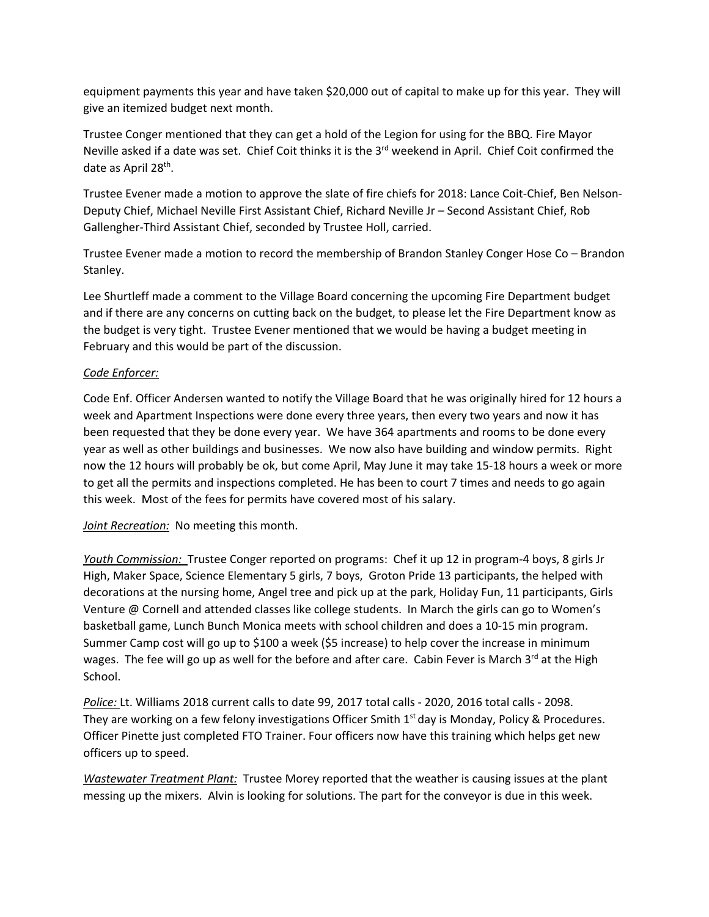equipment payments this year and have taken \$20,000 out of capital to make up for this year. They will give an itemized budget next month.

Trustee Conger mentioned that they can get a hold of the Legion for using for the BBQ. Fire Mayor Neville asked if a date was set. Chief Coit thinks it is the 3<sup>rd</sup> weekend in April. Chief Coit confirmed the date as April 28<sup>th</sup>.

Trustee Evener made a motion to approve the slate of fire chiefs for 2018: Lance Coit‐Chief, Ben Nelson‐ Deputy Chief, Michael Neville First Assistant Chief, Richard Neville Jr – Second Assistant Chief, Rob Gallengher‐Third Assistant Chief, seconded by Trustee Holl, carried.

Trustee Evener made a motion to record the membership of Brandon Stanley Conger Hose Co – Brandon Stanley.

Lee Shurtleff made a comment to the Village Board concerning the upcoming Fire Department budget and if there are any concerns on cutting back on the budget, to please let the Fire Department know as the budget is very tight. Trustee Evener mentioned that we would be having a budget meeting in February and this would be part of the discussion.

# *Code Enforcer:*

Code Enf. Officer Andersen wanted to notify the Village Board that he was originally hired for 12 hours a week and Apartment Inspections were done every three years, then every two years and now it has been requested that they be done every year. We have 364 apartments and rooms to be done every year as well as other buildings and businesses. We now also have building and window permits. Right now the 12 hours will probably be ok, but come April, May June it may take 15‐18 hours a week or more to get all the permits and inspections completed. He has been to court 7 times and needs to go again this week. Most of the fees for permits have covered most of his salary.

*Joint Recreation:* No meeting this month.

*Youth Commission:* Trustee Conger reported on programs: Chef it up 12 in program-4 boys, 8 girls Jr High, Maker Space, Science Elementary 5 girls, 7 boys, Groton Pride 13 participants, the helped with decorations at the nursing home, Angel tree and pick up at the park, Holiday Fun, 11 participants, Girls Venture @ Cornell and attended classes like college students. In March the girls can go to Women's basketball game, Lunch Bunch Monica meets with school children and does a 10‐15 min program. Summer Camp cost will go up to \$100 a week (\$5 increase) to help cover the increase in minimum wages. The fee will go up as well for the before and after care. Cabin Fever is March 3<sup>rd</sup> at the High School.

*Police:* Lt. Williams 2018 current calls to date 99, 2017 total calls ‐ 2020, 2016 total calls ‐ 2098. They are working on a few felony investigations Officer Smith  $1<sup>st</sup>$  day is Monday, Policy & Procedures. Officer Pinette just completed FTO Trainer. Four officers now have this training which helps get new officers up to speed.

*Wastewater Treatment Plant:* Trustee Morey reported that the weather is causing issues at the plant messing up the mixers. Alvin is looking for solutions. The part for the conveyor is due in this week.